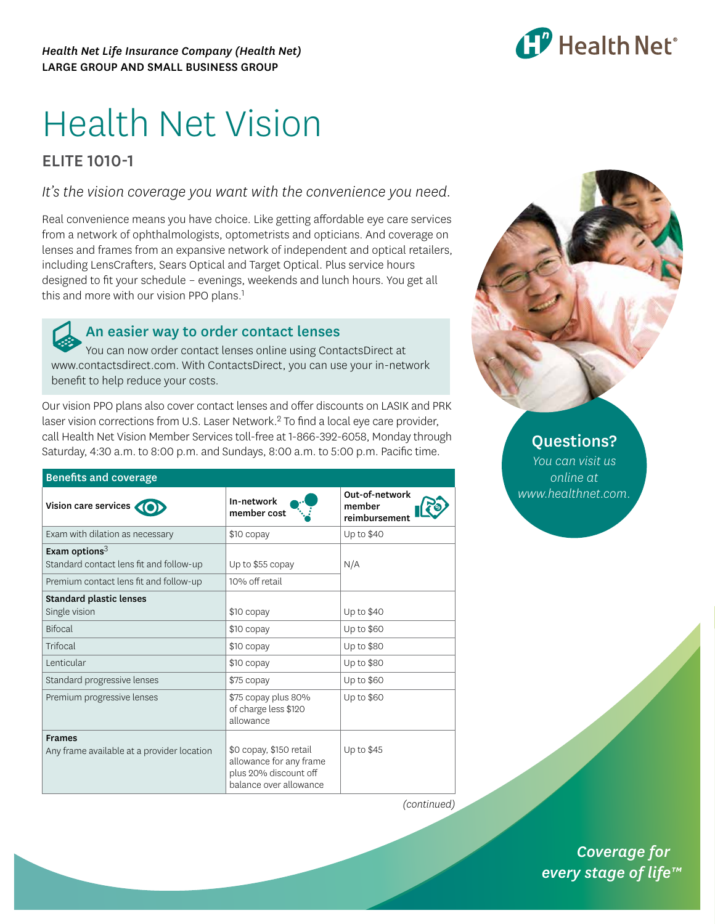

# Health Net Vision

## ELITE 1010-1

*It's the vision coverage you want with the convenience you need.*

Real convenience means you have choice. Like getting affordable eye care services from a network of ophthalmologists, optometrists and opticians. And coverage on lenses and frames from an expansive network of independent and optical retailers, including LensCrafters, Sears Optical and Target Optical. Plus service hours designed to fit your schedule – evenings, weekends and lunch hours. You get all this and more with our vision PPO plans.<sup>1</sup>

### An easier way to order contact lenses

You can now order contact lenses online using ContactsDirect at [www.contactsdirect.com.](www.contactsdirect.com) With ContactsDirect, you can use your in-network benefit to help reduce your costs.

Our vision PPO plans also cover contact lenses and offer discounts on LASIK and PRK laser vision corrections from U.S. Laser Network.2 To find a local eye care provider, call Health Net Vision Member Services toll-free at 1-866-392-6058, Monday through Saturday, 4:30 a.m. to 8:00 p.m. and Sundays, 8:00 a.m. to 5:00 p.m. Pacific time.

| <b>Benefits and coverage</b>               |                                                                                                       |                                           |  |
|--------------------------------------------|-------------------------------------------------------------------------------------------------------|-------------------------------------------|--|
| Vision care services                       | In-network<br>member cost                                                                             | Out-of-network<br>member<br>reimbursement |  |
| Exam with dilation as necessary            | \$10 copay                                                                                            | Up to \$40                                |  |
| Exam options $^3$                          |                                                                                                       |                                           |  |
| Standard contact lens fit and follow-up    | Up to \$55 copay                                                                                      | N/A                                       |  |
| Premium contact lens fit and follow-up     | 10% off retail                                                                                        |                                           |  |
| <b>Standard plastic lenses</b>             |                                                                                                       |                                           |  |
| Single vision                              | \$10 copay                                                                                            | Up to \$40                                |  |
| <b>Bifocal</b>                             | \$10 copay                                                                                            | Up to \$60                                |  |
| Trifocal                                   | \$10 copay                                                                                            | Up to \$80                                |  |
| Lenticular                                 | \$10 copay                                                                                            | Up to \$80                                |  |
| Standard progressive lenses                | \$75 copay                                                                                            | Up to \$60                                |  |
| Premium progressive lenses                 | \$75 copay plus 80%<br>of charge less \$120<br>allowance                                              | Up to \$60                                |  |
| <b>Frames</b>                              |                                                                                                       |                                           |  |
| Any frame available at a provider location | \$0 copay, \$150 retail<br>allowance for any frame<br>plus 20% discount off<br>balance over allowance | Up to \$45                                |  |



## Questions?

*You can visit us online at [www.healthnet.com.](www.healthnet.com)*

*(continued)*

*(continued) Coverage for every stage of life™*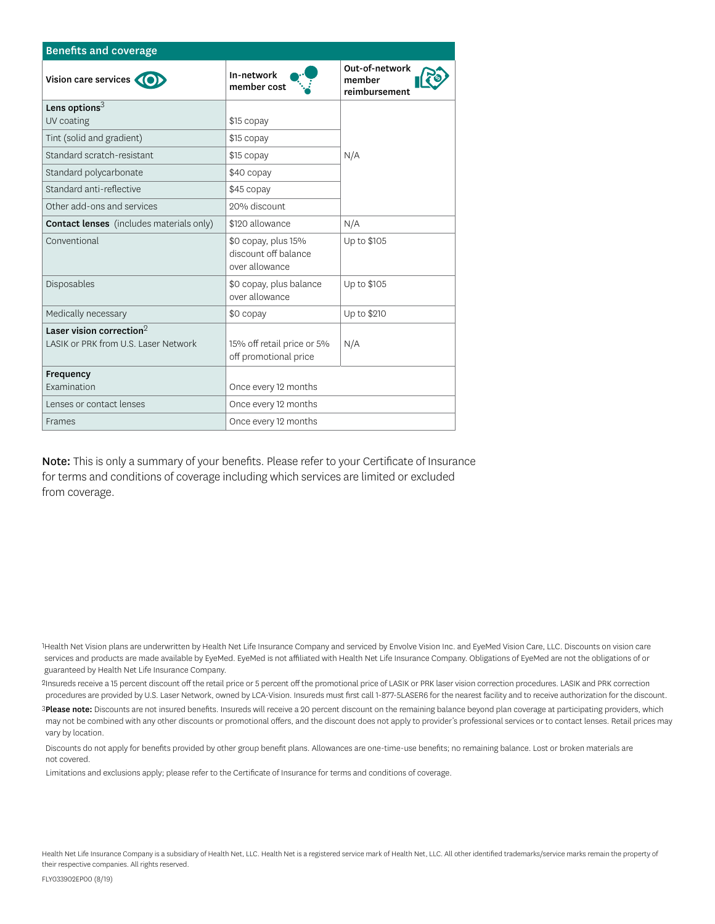| <b>Benefits and coverage</b>                    |                                                               |                                           |  |
|-------------------------------------------------|---------------------------------------------------------------|-------------------------------------------|--|
| Vision care services                            | In-network<br>member cost                                     | Out-of-network<br>member<br>reimbursement |  |
| Lens options $^3$                               |                                                               |                                           |  |
| UV coating                                      | \$15 copay                                                    |                                           |  |
| Tint (solid and gradient)                       | \$15 copay                                                    |                                           |  |
| Standard scratch-resistant                      | \$15 copay                                                    | N/A                                       |  |
| Standard polycarbonate                          | \$40 copay                                                    |                                           |  |
| Standard anti-reflective                        | \$45 copay                                                    |                                           |  |
| Other add-ons and services                      | 20% discount                                                  |                                           |  |
| <b>Contact lenses</b> (includes materials only) | \$120 allowance                                               | N/A                                       |  |
| Conventional                                    | \$0 copay, plus 15%<br>discount off balance<br>over allowance | Up to \$105                               |  |
| Disposables                                     | \$0 copay, plus balance<br>over allowance                     | Up to \$105                               |  |
| Medically necessary                             | \$0 copay                                                     | Up to \$210                               |  |
| Laser vision correction $2$                     |                                                               |                                           |  |
| LASIK or PRK from U.S. Laser Network            | 15% off retail price or 5%<br>off promotional price           | N/A                                       |  |
| Frequency                                       |                                                               |                                           |  |
| Examination                                     | Once every 12 months                                          |                                           |  |
| Lenses or contact lenses                        | Once every 12 months                                          |                                           |  |
| <b>Frames</b>                                   | Once every 12 months                                          |                                           |  |

Note: This is only a summary of your benefits. Please refer to your Certificate of Insurance for terms and conditions of coverage including which services are limited or excluded from coverage.

1Health Net Vision plans are underwritten by Health Net Life Insurance Company and serviced by Envolve Vision Inc. and EyeMed Vision Care, LLC. Discounts on vision care services and products are made available by EyeMed. EyeMed is not affiliated with Health Net Life Insurance Company. Obligations of EyeMed are not the obligations of or guaranteed by Health Net Life Insurance Company.

2Insureds receive a 15 percent discount off the retail price or 5 percent off the promotional price of LASIK or PRK laser vision correction procedures. LASIK and PRK correction procedures are provided by U.S. Laser Network, owned by LCA-Vision. Insureds must first call 1-877-5LASER6 for the nearest facility and to receive authorization for the discount.

3Please note: Discounts are not insured benefits. Insureds will receive a 20 percent discount on the remaining balance beyond plan coverage at participating providers, which may not be combined with any other discounts or promotional offers, and the discount does not apply to provider's professional services or to contact lenses. Retail prices may vary by location.

 Discounts do not apply for benefits provided by other group benefit plans. Allowances are one-time-use benefits; no remaining balance. Lost or broken materials are not covered.

Limitations and exclusions apply; please refer to the Certificate of Insurance for terms and conditions of coverage.

Health Net Life Insurance Company is a subsidiary of Health Net, LLC. Health Net is a registered service mark of Health Net, LLC. All other identified trademarks/service marks remain the property of their respective companies. All rights reserved.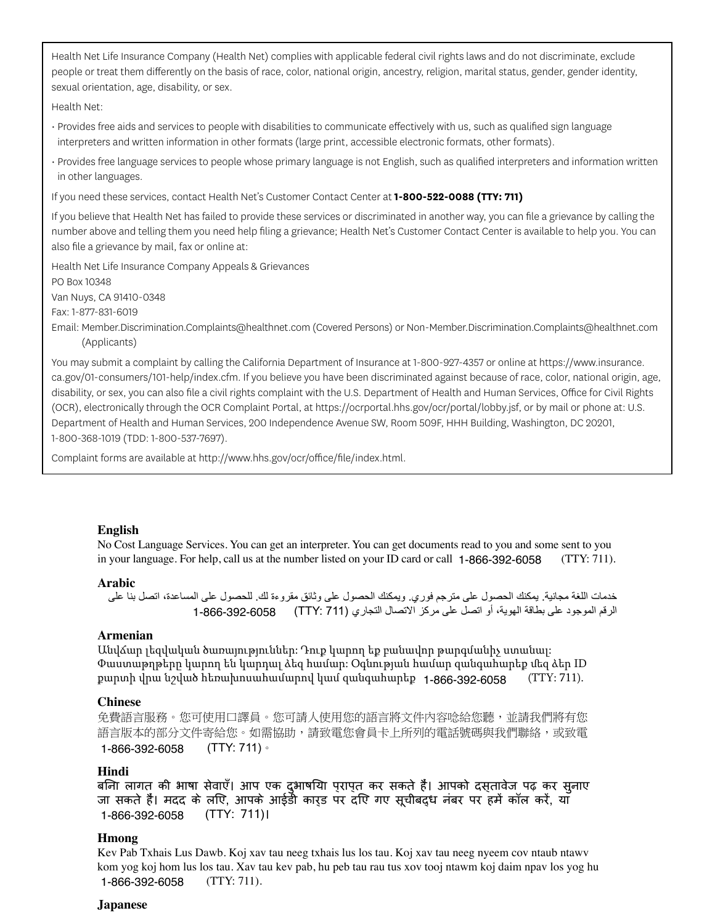Health Net Life Insurance Company (Health Net) complies with applicable federal civil rights laws and do not discriminate, exclude people or treat them differently on the basis of race, color, national origin, ancestry, religion, marital status, gender, gender identity, sexual orientation, age, disability, or sex.

Health Net:

- Provides free aids and services to people with disabilities to communicate effectively with us, such as qualified sign language interpreters and written information in other formats (large print, accessible electronic formats, other formats).
- Provides free language services to people whose primary language is not English, such as qualified interpreters and information written in other languages.

If you need these services, contact Health Net's Customer Contact Center at **1-800-522-0088 (TTY: 711)**

If you believe that Health Net has failed to provide these services or discriminated in another way, you can file a grievance by calling the number above and telling them you need help filing a grievance; Health Net's Customer Contact Center is available to help you. You can also file a grievance by mail, fax or online at:

Health Net Life Insurance Company Appeals & Grievances PO Box 10348

Van Nuys, CA 91410-0348

Fax: 1-877-831-6019

Email: Member.Discrimination[.Complaints@healthnet.com \(](mailto:Complaints@healthnet.com)Covered Persons) or Non-Member.Discrimination.[Complaints@healthnet.com](mailto:Complaints@healthnet.com)  (Applicants)

You may submit a complaint by calling the California Department of Insurance at 1-800-927-4357 or online at [https://www.insurance.](https://www.insurance.ca.gov/01-consumers/101-help/index.cfm) [ca.gov/01-consumers/101-help/index.cfm.](https://www.insurance.ca.gov/01-consumers/101-help/index.cfm) If you believe you have been discriminated against because of race, color, national origin, age, disability, or sex, you can also file a civil rights complaint with the U.S. Department of Health and Human Services, Office for Civil Rights (OCR), electronically through the OCR Complaint Portal, at [https://ocrportal.hhs.gov/ocr/portal/lobby.jsf,](https://ocrportal.hhs.gov/ocr/portal/lobby.jsf) or by mail or phone at: U.S. Department of Health and Human Services, 200 Independence Avenue SW, Room 509F, HHH Building, Washington, DC 20201, 1-800-368-1019 (TDD: 1-800-537-7697).

Complaint forms are available a[t http://www.hhs.gov/ocr/office/file/index.html.](http://www.hhs.gov/ocr/office/file/index.html)

#### **English**

No Cost Language Services. You can get an interpreter. You can get documents read to you and some sent to you in your language. For help, call us at the number listed on your ID card or call 1-866-392-6058 (TTY: 711).

#### **Arabic**

```
خدمات اللغة مجانية. يمكنك الحصول على مترجم فوري. ويمكنك الحصول على وثائق مقروءة لك. للحصول على المساعدة، اتصل بنا على 
        الرقم الموجود على بطاقة الهوية، أو اتصل على مركز الاتصال التجاري (TTY: 711)      6058-392-6058 1-866
```
#### **Armenian**

Անվճար լեզվական ծառայություններ: Դուք կարող եք բանավոր թարգմանիչ ստանալ: Փաստաթղթերը կարող են կարդալ ձեզ համար: Օգնության համար զանգահարեք մեզ ձեր ID քարտի վրա նշված հեռախոսահամարով կամ զանգահարեք **1-866-392-6058** (TTY: 711).

#### **Chinese**

免費語言服務。您可使用口譯員。您可請人使用您的語言將文件內容唸給您聽,並請我們將有您 語言版本的部分文件寄給您。如需協助,請致電您會員卡上所列的電話號碼與我們聯絡,或致電 (TTY: 711)。 1-866-392-6058

#### **Hindi**

बिना लागत की भाषा सेवाएँ। आप एक दुभाषिया प्राप्त कर सकते हैं। आपको दस्तावेज पढ़ कर सुनाए जा सकते हैं। मदद के लिए, आपके आईडी कार्ड पर दिए गए सूचीबद्ध नंबर पर हमें कॉल करें, या (TTY: 711)। 1-866-392-6058

#### **Hmong**

Kev Pab Txhais Lus Dawb. Koj xav tau neeg txhais lus los tau. Koj xav tau neeg nyeem cov ntaub ntawv kom yog koj hom lus los tau. Xav tau kev pab, hu peb tau rau tus xov tooj ntawm koj daim npav los yog hu (TTY: 711). 1-866-392-6058

#### **Japanese**